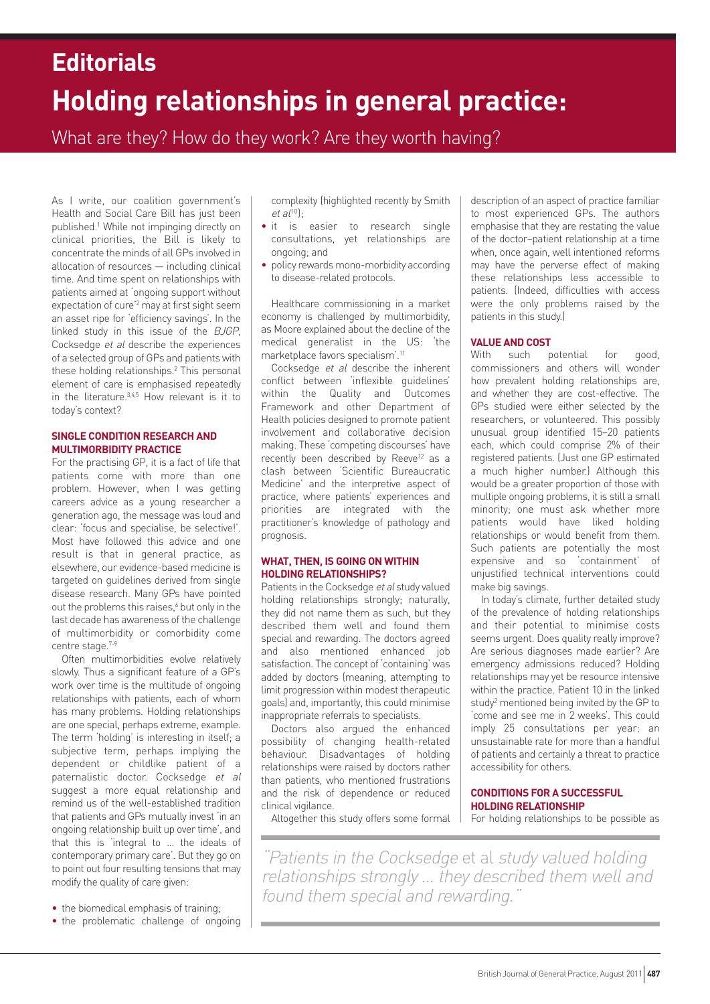# **Holding relationships in general practice: Editorials**

What are they? How do they work? Are they worth having?

As I write, our coalition government's Health and Social Care Bill has just been published. <sup>1</sup> While not impinging directly on clinical priorities, the Bill is likely to concentrate the minds of all GPs involved in allocation of resources — including clinical time. And time spent on relationships with patients aimed at 'ongoing support without expectation of cure' <sup>2</sup> may at first sight seem an asset ripe for 'efficiency savings'. In the linked study in this issue of the BJGP, Cocksedge et al describe the experiences of a selected group of GPs and patients with these holding relationships. <sup>2</sup> This personal element of care is emphasised repeatedly in the literature.<sup>3,4,5</sup> How relevant is it to today's context?

## **SINGLE CONDITION RESEARCH AND MULTIMORBIDITY PRACTICE**

For the practising GP, it is a fact of life that patients come with more than one problem. However, when I was getting careers advice as a young researcher a generation ago, the message was loud and clear: 'focus and specialise, be selective!'. Most have followed this advice and one result is that in general practice, as elsewhere, our evidence-based medicine is targeted on guidelines derived from single disease research. Many GPs have pointed out the problems this raises.<sup>6</sup> but only in the last decade has awareness of the challenge of multimorbidity or comorbidity come centre stage. 7-9

Often multimorbidities evolve relatively slowly. Thus a significant feature of a GP's work over time is the multitude of ongoing relationships with patients, each of whom has many problems. Holding relationships are one special, perhaps extreme, example. The term 'holding' is interesting in itself; a subjective term, perhaps implying the dependent or childlike patient of a paternalistic doctor. Cocksedge et al suggest a more equal relationship and remind us of the well-established tradition that patients and GPs mutually invest 'in an ongoing relationship built up over time', and that this is 'integral to … the ideals of contemporary primary care'. But they go on to point out four resulting tensions that may modify the quality of care given:

- the biomedical emphasis of training;
- the problematic challenge of ongoing

complexity (highlighted recently by Smith  $et al<sup>10</sup>$ :

- it is easier to research single consultations, yet relationships are ongoing; and
- policy rewards mono-morbidity according to disease-related protocols.

Healthcare commissioning in a market economy is challenged by multimorbidity, as Moore explained about the decline of the medical generalist in the US: 'the marketplace favors specialism'. 11

Cocksedge et al describe the inherent conflict between 'inflexible guidelines' within the Quality and Outcomes Framework and other Department of Health policies designed to promote patient involvement and collaborative decision making. These 'competing discourses' have recently been described by Reeve<sup>12</sup> as a clash between 'Scientific Bureaucratic Medicine' and the interpretive aspect of practice, where patients' experiences and priorities are integrated with the practitioner's knowledge of pathology and prognosis.

## **WHAT, THEN, IS GOING ON WITHIN HOLDING RELATIONSHIPS?**

Patients in the Cocksedge et al study valued holding relationships strongly; naturally, they did not name them as such, but they described them well and found them special and rewarding. The doctors agreed and also mentioned enhanced job satisfaction. The concept of 'containing' was added by doctors (meaning, attempting to limit progression within modest therapeutic goals) and, importantly, this could minimise inappropriate referrals to specialists.

Doctors also argued the enhanced possibility of changing health-related behaviour. Disadvantages of holding relationships were raised by doctors rather than patients, who mentioned frustrations and the risk of dependence or reduced clinical vigilance.

Altogether this study offers some formal

description of an aspect of practice familiar to most experienced GPs. The authors emphasise that they are restating the value of the doctor–patient relationship at a time when, once again, well intentioned reforms may have the perverse effect of making these relationships less accessible to patients. (Indeed, difficulties with access were the only problems raised by the patients in this study.)

## **VALUE AND COST**

With such potential for good, commissioners and others will wonder how prevalent holding relationships are, and whether they are cost-effective. The GPs studied were either selected by the researchers, or volunteered. This possibly unusual group identified 15–20 patients each, which could comprise 2% of their registered patients. (Just one GP estimated a much higher number.) Although this would be a greater proportion of those with multiple ongoing problems, it is still a small minority; one must ask whether more patients would have liked holding relationships or would benefit from them. Such patients are potentially the most expensive and so 'containment' of unjustified technical interventions could make big savings.

In today's climate, further detailed study of the prevalence of holding relationships and their potential to minimise costs seems urgent. Does quality really improve? Are serious diagnoses made earlier? Are emergency admissions reduced? Holding relationships may yet be resource intensive within the practice. Patient 10 in the linked study<sup>2</sup> mentioned being invited by the GP to 'come and see me in 2 weeks'. This could imply 25 consultations per year: an unsustainable rate for more than a handful of patients and certainly a threat to practice accessibility for others.

## **CONDITIONS FOR A SUCCESSFUL HOLDING RELATIONSHIP**

For holding relationships to be possible as

"Patients in the Cocksedge et al study valued holding relationships strongly ... they described them well and found them special and rewarding."